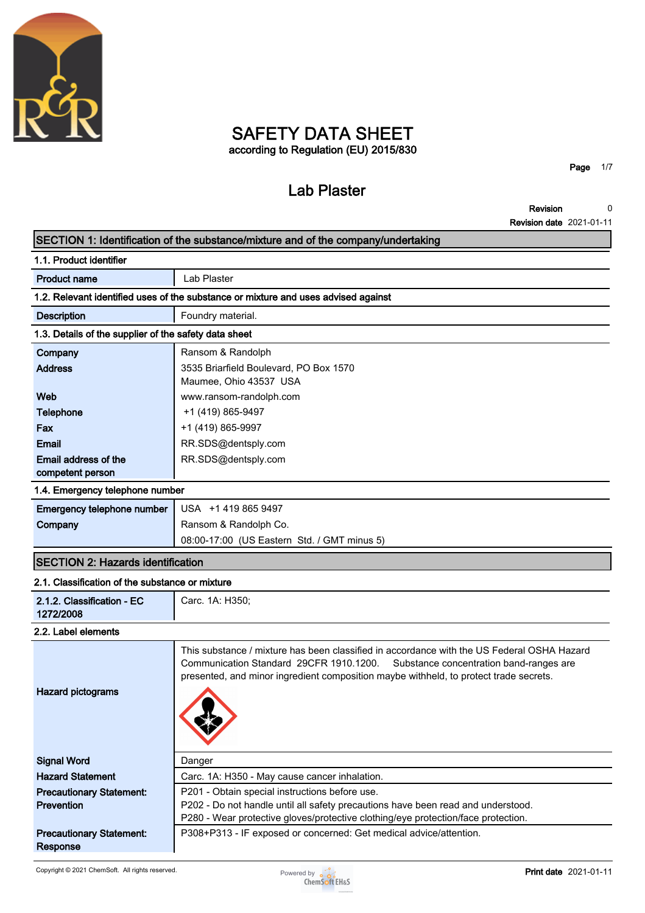

## **SAFETY DATA SHEET according to Regulation (EU) 2015/830**

# **Lab Plaster**

**Page 1/7**

**Revision 0**

|                                                       | <b>Revision date 2021-01-11</b>                                                                                                                                                                                                                                           |  |  |
|-------------------------------------------------------|---------------------------------------------------------------------------------------------------------------------------------------------------------------------------------------------------------------------------------------------------------------------------|--|--|
|                                                       | SECTION 1: Identification of the substance/mixture and of the company/undertaking                                                                                                                                                                                         |  |  |
| 1.1. Product identifier                               |                                                                                                                                                                                                                                                                           |  |  |
| <b>Product name</b>                                   | Lab Plaster                                                                                                                                                                                                                                                               |  |  |
|                                                       | 1.2. Relevant identified uses of the substance or mixture and uses advised against                                                                                                                                                                                        |  |  |
| <b>Description</b>                                    | Foundry material.                                                                                                                                                                                                                                                         |  |  |
| 1.3. Details of the supplier of the safety data sheet |                                                                                                                                                                                                                                                                           |  |  |
| Company                                               | Ransom & Randolph                                                                                                                                                                                                                                                         |  |  |
| <b>Address</b>                                        | 3535 Briarfield Boulevard, PO Box 1570                                                                                                                                                                                                                                    |  |  |
|                                                       | Maumee, Ohio 43537 USA                                                                                                                                                                                                                                                    |  |  |
| Web                                                   | www.ransom-randolph.com                                                                                                                                                                                                                                                   |  |  |
| <b>Telephone</b>                                      | +1 (419) 865-9497                                                                                                                                                                                                                                                         |  |  |
| Fax                                                   | +1 (419) 865-9997                                                                                                                                                                                                                                                         |  |  |
| <b>Email</b>                                          | RR.SDS@dentsply.com                                                                                                                                                                                                                                                       |  |  |
| Email address of the                                  | RR.SDS@dentsply.com                                                                                                                                                                                                                                                       |  |  |
| competent person<br>1.4. Emergency telephone number   |                                                                                                                                                                                                                                                                           |  |  |
| Emergency telephone number                            | USA +1 419 865 9497                                                                                                                                                                                                                                                       |  |  |
| Company                                               | Ransom & Randolph Co.                                                                                                                                                                                                                                                     |  |  |
|                                                       | 08:00-17:00 (US Eastern Std. / GMT minus 5)                                                                                                                                                                                                                               |  |  |
| <b>SECTION 2: Hazards identification</b>              |                                                                                                                                                                                                                                                                           |  |  |
| 2.1. Classification of the substance or mixture       |                                                                                                                                                                                                                                                                           |  |  |
| 2.1.2. Classification - EC<br>1272/2008               | Carc. 1A: H350;                                                                                                                                                                                                                                                           |  |  |
| 2.2. Label elements                                   |                                                                                                                                                                                                                                                                           |  |  |
| <b>Hazard pictograms</b>                              | This substance / mixture has been classified in accordance with the US Federal OSHA Hazard<br>Communication Standard 29CFR 1910.1200.<br>Substance concentration band-ranges are<br>presented, and minor ingredient composition maybe withheld, to protect trade secrets. |  |  |
| <b>Signal Word</b>                                    | Danger                                                                                                                                                                                                                                                                    |  |  |
| <b>Hazard Statement</b>                               | Carc. 1A: H350 - May cause cancer inhalation.                                                                                                                                                                                                                             |  |  |
| <b>Precautionary Statement:</b>                       | P201 - Obtain special instructions before use.                                                                                                                                                                                                                            |  |  |
| Prevention                                            | P202 - Do not handle until all safety precautions have been read and understood.                                                                                                                                                                                          |  |  |
|                                                       | P280 - Wear protective gloves/protective clothing/eye protection/face protection.                                                                                                                                                                                         |  |  |
| <b>Precautionary Statement:</b><br>Response           | P308+P313 - IF exposed or concerned: Get medical advice/attention.                                                                                                                                                                                                        |  |  |

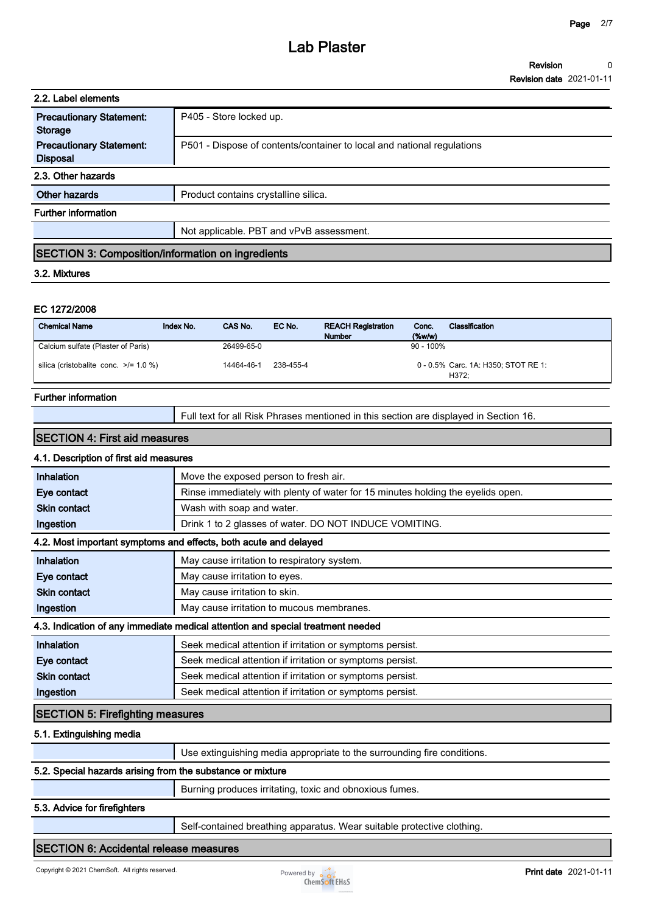| 2.2. Label elements                                      |                                                                        |  |
|----------------------------------------------------------|------------------------------------------------------------------------|--|
| <b>Precautionary Statement:</b><br><b>Storage</b>        | P405 - Store locked up.                                                |  |
| <b>Precautionary Statement:</b><br><b>Disposal</b>       | P501 - Dispose of contents/container to local and national regulations |  |
| 2.3. Other hazards                                       |                                                                        |  |
| <b>Other hazards</b>                                     | Product contains crystalline silica.                                   |  |
| <b>Further information</b>                               |                                                                        |  |
|                                                          | Not applicable. PBT and vPvB assessment.                               |  |
| <b>SECTION 3: Composition/information on ingredients</b> |                                                                        |  |

#### **3.2. Mixtures**

#### **EC 1272/2008**

| <b>Chemical Name</b>                       | Index No. | CAS No.    | EC No.    | <b>REACH Registration</b><br><b>Number</b> | Conc.<br>$(\%w/w)$ | Classification                               |
|--------------------------------------------|-----------|------------|-----------|--------------------------------------------|--------------------|----------------------------------------------|
| Calcium sulfate (Plaster of Paris)         |           | 26499-65-0 |           |                                            | $90 - 100\%$       |                                              |
| silica (cristobalite conc. $\ge$ /= 1.0 %) |           | 14464-46-1 | 238-455-4 |                                            |                    | 0 - 0.5% Carc. 1A: H350; STOT RE 1:<br>H372: |

#### **Further information**

**Full text for all Risk Phrases mentioned in this section are displayed in Section 16.**

#### **SECTION 4: First aid measures**

## **4.1. Description of first aid measures**

| Inhalation                                                                      | Move the exposed person to fresh air.                                           |  |
|---------------------------------------------------------------------------------|---------------------------------------------------------------------------------|--|
| Eye contact                                                                     | Rinse immediately with plenty of water for 15 minutes holding the eyelids open. |  |
| <b>Skin contact</b>                                                             | Wash with soap and water.                                                       |  |
| Ingestion                                                                       | Drink 1 to 2 glasses of water. DO NOT INDUCE VOMITING.                          |  |
| 4.2. Most important symptoms and effects, both acute and delayed                |                                                                                 |  |
| Inhalation                                                                      | May cause irritation to respiratory system.                                     |  |
| Eye contact                                                                     | May cause irritation to eyes.                                                   |  |
| <b>Skin contact</b>                                                             | May cause irritation to skin.                                                   |  |
| Ingestion                                                                       | May cause irritation to mucous membranes.                                       |  |
| 4.3. Indication of any immediate medical attention and special treatment needed |                                                                                 |  |
| Inhalation                                                                      | Seek medical attention if irritation or symptoms persist.                       |  |
| Eye contact                                                                     | Seek medical attention if irritation or symptoms persist.                       |  |
| <b>Skin contact</b>                                                             | Seek medical attention if irritation or symptoms persist.                       |  |
| Ingestion                                                                       | Seek medical attention if irritation or symptoms persist.                       |  |
| <b>SECTION 5: Firefighting measures</b>                                         |                                                                                 |  |

#### **5.1. Extinguishing media**

|                                                            | Use extinguishing media appropriate to the surrounding fire conditions. |  |  |
|------------------------------------------------------------|-------------------------------------------------------------------------|--|--|
| 5.2. Special hazards arising from the substance or mixture |                                                                         |  |  |
|                                                            | Burning produces irritating, toxic and obnoxious fumes.                 |  |  |

#### **5.3. Advice for firefighters**

**Self-contained breathing apparatus. Wear suitable protective clothing.**

#### **SECTION 6: Accidental release measures**

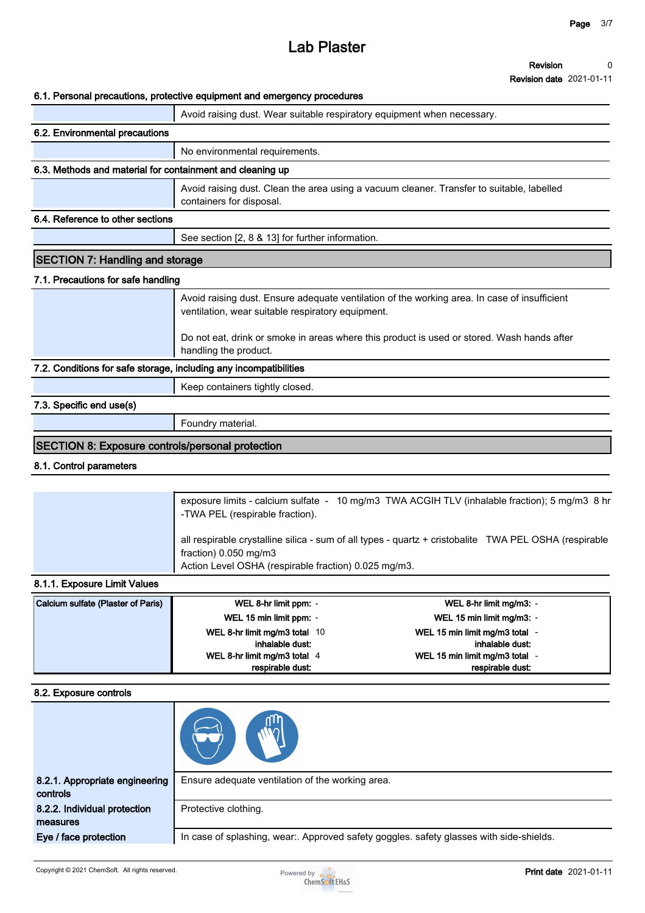#### **Revision 0**

**Revision date 2021-01-11**

#### **6.1. Personal precautions, protective equipment and emergency procedures**

|                                                                   | o. i. Personal precaduloris, protective equipment and emergency procedures                                                                        |  |
|-------------------------------------------------------------------|---------------------------------------------------------------------------------------------------------------------------------------------------|--|
|                                                                   | Avoid raising dust. Wear suitable respiratory equipment when necessary.                                                                           |  |
| 6.2. Environmental precautions                                    |                                                                                                                                                   |  |
|                                                                   | No environmental requirements.                                                                                                                    |  |
| 6.3. Methods and material for containment and cleaning up         |                                                                                                                                                   |  |
|                                                                   | Avoid raising dust. Clean the area using a vacuum cleaner. Transfer to suitable, labelled<br>containers for disposal.                             |  |
| 6.4. Reference to other sections                                  |                                                                                                                                                   |  |
|                                                                   | See section [2, 8 & 13] for further information.                                                                                                  |  |
| <b>SECTION 7: Handling and storage</b>                            |                                                                                                                                                   |  |
| 7.1. Precautions for safe handling                                |                                                                                                                                                   |  |
|                                                                   | Avoid raising dust. Ensure adequate ventilation of the working area. In case of insufficient<br>ventilation, wear suitable respiratory equipment. |  |
|                                                                   | Do not eat, drink or smoke in areas where this product is used or stored. Wash hands after<br>handling the product.                               |  |
| 7.2. Conditions for safe storage, including any incompatibilities |                                                                                                                                                   |  |
|                                                                   | Keep containers tightly closed.                                                                                                                   |  |
| 7.3. Specific end use(s)                                          |                                                                                                                                                   |  |
|                                                                   | Foundry material.                                                                                                                                 |  |
| <b>SECTION 8: Exposure controls/personal protection</b>           |                                                                                                                                                   |  |

## **8.1. Control parameters**

| exposure limits - calcium sulfate - 10 mg/m3 TWA ACGIH TLV (inhalable fraction); 5 mg/m3 8 hr<br>-TWA PEL (respirable fraction).                                                         |
|------------------------------------------------------------------------------------------------------------------------------------------------------------------------------------------|
| all respirable crystalline silica - sum of all types - quartz + cristobalite TWA PEL OSHA (respirable<br>fraction) $0.050$ mg/m3<br>Action Level OSHA (respirable fraction) 0.025 mg/m3. |

### **8.1.1. Exposure Limit Values**

| Calcium sulfate (Plaster of Paris) | WEL 8-hr limit ppm: -         | WEL 8-hr limit mg/m3: -      |
|------------------------------------|-------------------------------|------------------------------|
|                                    | WEL 15 min limit ppm: -       | WEL 15 min limit mg/m3: -    |
|                                    | WEL 8-hr limit mg/m3 total 10 | WEL 15 min limit mg/m3 total |
|                                    | inhalable dust:               | inhalable dust:              |
|                                    | WEL 8-hr limit mg/m3 total 4  | WEL 15 min limit mg/m3 total |
|                                    | respirable dust:              | respirable dust:             |

#### **8.2. Exposure controls**

| 8.2.1. Appropriate engineering<br>controls | Ensure adequate ventilation of the working area.                                        |
|--------------------------------------------|-----------------------------------------------------------------------------------------|
| 8.2.2. Individual protection<br>measures   | Protective clothing.                                                                    |
| Eye / face protection                      | In case of splashing, wear:. Approved safety goggles. safety glasses with side-shields. |

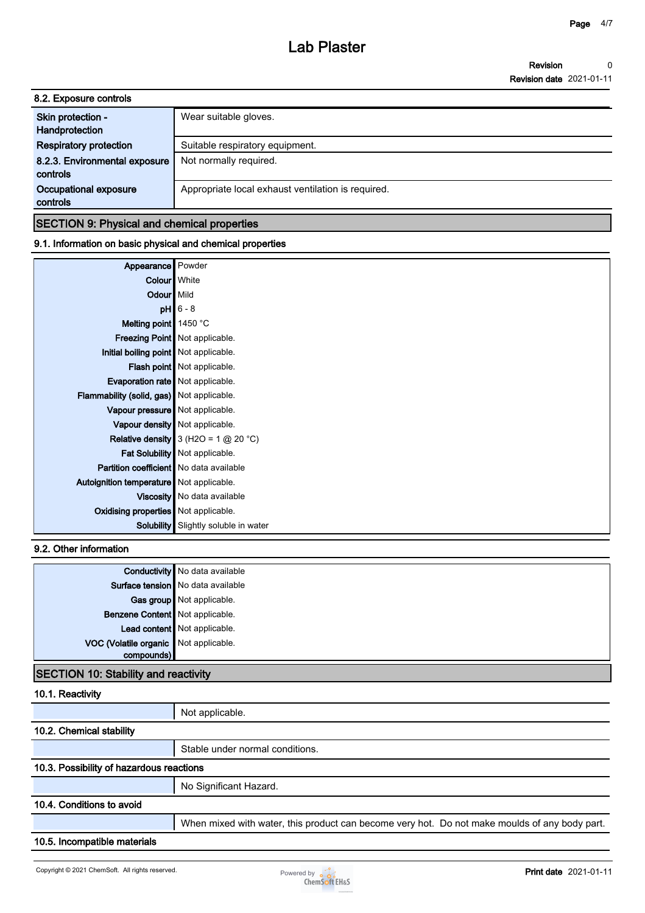| 8.2. Exposure controls                    |                                                    |
|-------------------------------------------|----------------------------------------------------|
| Skin protection -<br>Handprotection       | Wear suitable gloves.                              |
| <b>Respiratory protection</b>             | Suitable respiratory equipment.                    |
| 8.2.3. Environmental exposure<br>controls | Not normally required.                             |
| Occupational exposure<br>controls         | Appropriate local exhaust ventilation is required. |
|                                           |                                                    |

## **SECTION 9: Physical and chemical properties**

## **9.1. Information on basic physical and chemical properties**

| Appearance Powder                              |                                             |
|------------------------------------------------|---------------------------------------------|
| Colour White                                   |                                             |
| Odour Mild                                     |                                             |
|                                                | $pH$ 6 - 8                                  |
| Melting point $\vert$ 1450 °C                  |                                             |
|                                                | <b>Freezing Point   Not applicable.</b>     |
| Initial boiling point Not applicable.          |                                             |
|                                                | Flash point   Not applicable.               |
| <b>Evaporation rate</b> Not applicable.        |                                             |
| Flammability (solid, gas) Not applicable.      |                                             |
| Vapour pressure   Not applicable.              |                                             |
|                                                | Vapour density   Not applicable.            |
|                                                | Relative density $3$ (H2O = 1 $@$ 20 °C)    |
|                                                | Fat Solubility   Not applicable.            |
| <b>Partition coefficient</b> No data available |                                             |
| Autoignition temperature   Not applicable.     |                                             |
|                                                | Viscosity   No data available               |
| <b>Oxidising properties</b> Not applicable.    |                                             |
|                                                | <b>Solubility</b> Slightly soluble in water |

### **9.2. Other information**

| Surface tension   No data available<br>Gas group Not applicable.<br>Benzene Content   Not applicable.<br>Lead content Not applicable.<br>VOC (Volatile organic Not applicable. |            | <b>Conductivity</b> No data available |
|--------------------------------------------------------------------------------------------------------------------------------------------------------------------------------|------------|---------------------------------------|
|                                                                                                                                                                                |            |                                       |
|                                                                                                                                                                                |            |                                       |
|                                                                                                                                                                                |            |                                       |
|                                                                                                                                                                                |            |                                       |
|                                                                                                                                                                                |            |                                       |
|                                                                                                                                                                                | compounds) |                                       |

## **SECTION 10: Stability and reactivity**

## **10.1. Reactivity**

| Not applicable.                                                                               |  |
|-----------------------------------------------------------------------------------------------|--|
| 10.2. Chemical stability                                                                      |  |
| Stable under normal conditions.                                                               |  |
| 10.3. Possibility of hazardous reactions                                                      |  |
| No Significant Hazard.                                                                        |  |
|                                                                                               |  |
| When mixed with water, this product can become very hot. Do not make moulds of any body part. |  |
|                                                                                               |  |
|                                                                                               |  |

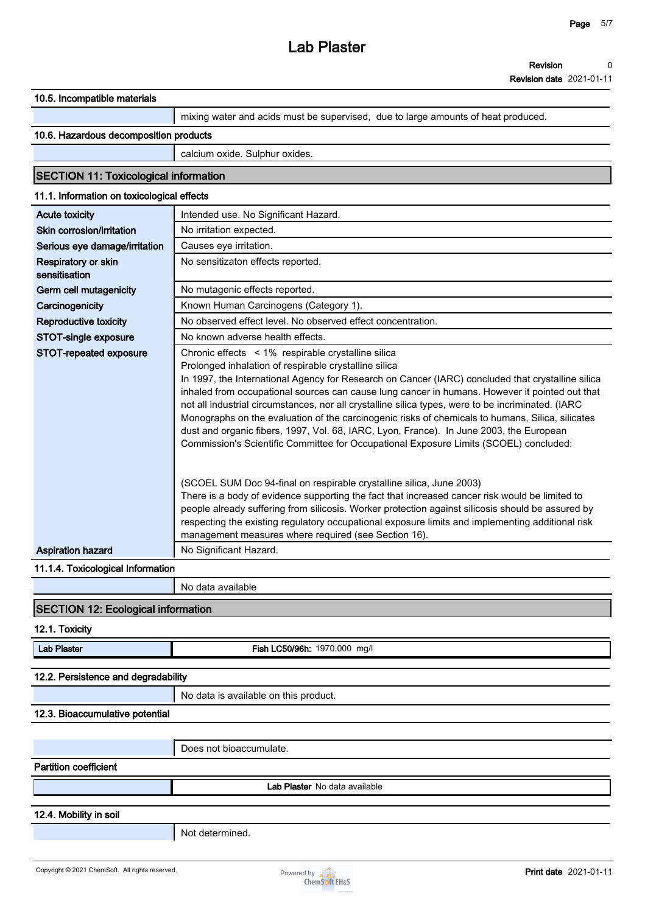**Revision date 2021-01-11**

| 10.5. Incompatible materials                    |                                                                                                                                                                                                                                                                                                                                                                                                                                                                        |
|-------------------------------------------------|------------------------------------------------------------------------------------------------------------------------------------------------------------------------------------------------------------------------------------------------------------------------------------------------------------------------------------------------------------------------------------------------------------------------------------------------------------------------|
|                                                 | mixing water and acids must be supervised, due to large amounts of heat produced.                                                                                                                                                                                                                                                                                                                                                                                      |
| 10.6. Hazardous decomposition products          |                                                                                                                                                                                                                                                                                                                                                                                                                                                                        |
|                                                 | calcium oxide. Sulphur oxides.                                                                                                                                                                                                                                                                                                                                                                                                                                         |
| <b>SECTION 11: Toxicological information</b>    |                                                                                                                                                                                                                                                                                                                                                                                                                                                                        |
| 11.1. Information on toxicological effects      |                                                                                                                                                                                                                                                                                                                                                                                                                                                                        |
| <b>Acute toxicity</b>                           | Intended use. No Significant Hazard.                                                                                                                                                                                                                                                                                                                                                                                                                                   |
| Skin corrosion/irritation                       | No irritation expected.                                                                                                                                                                                                                                                                                                                                                                                                                                                |
| Serious eye damage/irritation                   | Causes eye irritation.                                                                                                                                                                                                                                                                                                                                                                                                                                                 |
| Respiratory or skin<br>sensitisation            | No sensitizaton effects reported.                                                                                                                                                                                                                                                                                                                                                                                                                                      |
| Germ cell mutagenicity                          | No mutagenic effects reported.                                                                                                                                                                                                                                                                                                                                                                                                                                         |
| Carcinogenicity                                 | Known Human Carcinogens (Category 1).                                                                                                                                                                                                                                                                                                                                                                                                                                  |
| Reproductive toxicity                           | No observed effect level. No observed effect concentration.                                                                                                                                                                                                                                                                                                                                                                                                            |
| STOT-single exposure                            | No known adverse health effects.                                                                                                                                                                                                                                                                                                                                                                                                                                       |
| STOT-repeated exposure                          | Chronic effects < 1% respirable crystalline silica                                                                                                                                                                                                                                                                                                                                                                                                                     |
|                                                 | Prolonged inhalation of respirable crystalline silica<br>In 1997, the International Agency for Research on Cancer (IARC) concluded that crystalline silica<br>inhaled from occupational sources can cause lung cancer in humans. However it pointed out that<br>not all industrial circumstances, nor all crystalline silica types, were to be incriminated. (IARC<br>Monographs on the evaluation of the carcinogenic risks of chemicals to humans, Silica, silicates |
|                                                 | dust and organic fibers, 1997, Vol. 68, IARC, Lyon, France). In June 2003, the European<br>Commission's Scientific Committee for Occupational Exposure Limits (SCOEL) concluded:                                                                                                                                                                                                                                                                                       |
|                                                 | (SCOEL SUM Doc 94-final on respirable crystalline silica, June 2003)<br>There is a body of evidence supporting the fact that increased cancer risk would be limited to<br>people already suffering from silicosis. Worker protection against silicosis should be assured by<br>respecting the existing regulatory occupational exposure limits and implementing additional risk<br>management measures where required (see Section 16).                                |
| <b>Aspiration hazard</b>                        | No Significant Hazard.                                                                                                                                                                                                                                                                                                                                                                                                                                                 |
| 11.1.4. Toxicological Information               |                                                                                                                                                                                                                                                                                                                                                                                                                                                                        |
|                                                 | No data available                                                                                                                                                                                                                                                                                                                                                                                                                                                      |
| <b>SECTION 12: Ecological information</b>       |                                                                                                                                                                                                                                                                                                                                                                                                                                                                        |
| 12.1. Toxicity                                  |                                                                                                                                                                                                                                                                                                                                                                                                                                                                        |
| <b>Lab Plaster</b>                              | Fish LC50/96h: 1970.000 mg/l                                                                                                                                                                                                                                                                                                                                                                                                                                           |
|                                                 |                                                                                                                                                                                                                                                                                                                                                                                                                                                                        |
| 12.2. Persistence and degradability             |                                                                                                                                                                                                                                                                                                                                                                                                                                                                        |
|                                                 | No data is available on this product.                                                                                                                                                                                                                                                                                                                                                                                                                                  |
| 12.3. Bioaccumulative potential                 |                                                                                                                                                                                                                                                                                                                                                                                                                                                                        |
|                                                 |                                                                                                                                                                                                                                                                                                                                                                                                                                                                        |
|                                                 | Does not bioaccumulate.                                                                                                                                                                                                                                                                                                                                                                                                                                                |
| <b>Partition coefficient</b>                    |                                                                                                                                                                                                                                                                                                                                                                                                                                                                        |
|                                                 | Lab Plaster No data available                                                                                                                                                                                                                                                                                                                                                                                                                                          |
|                                                 |                                                                                                                                                                                                                                                                                                                                                                                                                                                                        |
|                                                 |                                                                                                                                                                                                                                                                                                                                                                                                                                                                        |
|                                                 |                                                                                                                                                                                                                                                                                                                                                                                                                                                                        |
| 12.4. Mobility in soil                          | Not determined.                                                                                                                                                                                                                                                                                                                                                                                                                                                        |
| Copyright © 2021 ChemSoft. All rights reserved. |                                                                                                                                                                                                                                                                                                                                                                                                                                                                        |

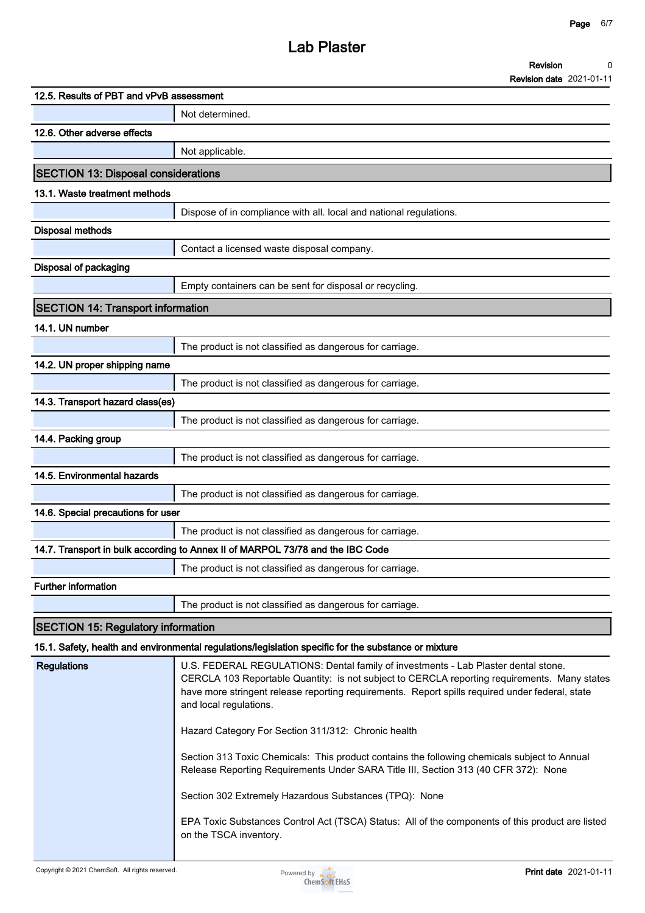| <b>Revision</b>                         |  |
|-----------------------------------------|--|
| <b>Decade the defendant of the U.S.</b> |  |

|                                            | <b>Revision date 2021-01-11</b>                                                                                                                                                                                                                                                                                                                                        |
|--------------------------------------------|------------------------------------------------------------------------------------------------------------------------------------------------------------------------------------------------------------------------------------------------------------------------------------------------------------------------------------------------------------------------|
| 12.5. Results of PBT and vPvB assessment   |                                                                                                                                                                                                                                                                                                                                                                        |
|                                            | Not determined.                                                                                                                                                                                                                                                                                                                                                        |
| 12.6. Other adverse effects                |                                                                                                                                                                                                                                                                                                                                                                        |
|                                            | Not applicable.                                                                                                                                                                                                                                                                                                                                                        |
| <b>SECTION 13: Disposal considerations</b> |                                                                                                                                                                                                                                                                                                                                                                        |
| 13.1. Waste treatment methods              |                                                                                                                                                                                                                                                                                                                                                                        |
|                                            | Dispose of in compliance with all. local and national regulations.                                                                                                                                                                                                                                                                                                     |
| <b>Disposal methods</b>                    |                                                                                                                                                                                                                                                                                                                                                                        |
|                                            | Contact a licensed waste disposal company.                                                                                                                                                                                                                                                                                                                             |
| <b>Disposal of packaging</b>               |                                                                                                                                                                                                                                                                                                                                                                        |
|                                            | Empty containers can be sent for disposal or recycling.                                                                                                                                                                                                                                                                                                                |
| <b>SECTION 14: Transport information</b>   |                                                                                                                                                                                                                                                                                                                                                                        |
| 14.1. UN number                            |                                                                                                                                                                                                                                                                                                                                                                        |
|                                            | The product is not classified as dangerous for carriage.                                                                                                                                                                                                                                                                                                               |
| 14.2. UN proper shipping name              |                                                                                                                                                                                                                                                                                                                                                                        |
|                                            | The product is not classified as dangerous for carriage.                                                                                                                                                                                                                                                                                                               |
| 14.3. Transport hazard class(es)           |                                                                                                                                                                                                                                                                                                                                                                        |
|                                            | The product is not classified as dangerous for carriage.                                                                                                                                                                                                                                                                                                               |
| 14.4. Packing group                        |                                                                                                                                                                                                                                                                                                                                                                        |
|                                            | The product is not classified as dangerous for carriage.                                                                                                                                                                                                                                                                                                               |
| 14.5. Environmental hazards                |                                                                                                                                                                                                                                                                                                                                                                        |
|                                            | The product is not classified as dangerous for carriage.                                                                                                                                                                                                                                                                                                               |
| 14.6. Special precautions for user         |                                                                                                                                                                                                                                                                                                                                                                        |
|                                            | The product is not classified as dangerous for carriage.                                                                                                                                                                                                                                                                                                               |
|                                            | 14.7. Transport in bulk according to Annex II of MARPOL 73/78 and the IBC Code                                                                                                                                                                                                                                                                                         |
|                                            | The product is not classified as dangerous for carriage.                                                                                                                                                                                                                                                                                                               |
| <b>Further information</b>                 |                                                                                                                                                                                                                                                                                                                                                                        |
|                                            | The product is not classified as dangerous for carriage.                                                                                                                                                                                                                                                                                                               |
| <b>SECTION 15: Regulatory information</b>  |                                                                                                                                                                                                                                                                                                                                                                        |
|                                            | 15.1. Safety, health and environmental regulations/legislation specific for the substance or mixture                                                                                                                                                                                                                                                                   |
| <b>Regulations</b>                         | U.S. FEDERAL REGULATIONS: Dental family of investments - Lab Plaster dental stone.<br>CERCLA 103 Reportable Quantity: is not subject to CERCLA reporting requirements. Many states<br>have more stringent release reporting requirements. Report spills required under federal, state<br>and local regulations.<br>Hazard Category For Section 311/312: Chronic health |
|                                            | Section 313 Toxic Chemicals: This product contains the following chemicals subject to Annual<br>Release Reporting Requirements Under SARA Title III, Section 313 (40 CFR 372): None                                                                                                                                                                                    |

**Section 302 Extremely Hazardous Substances (TPQ): None**

**EPA Toxic Substances Control Act (TSCA) Status: All of the components of this product are listed on the TSCA inventory.**

l,